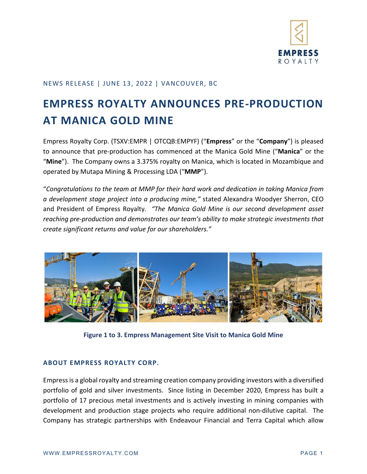

## NEWS RELEASE | JUNE 13, 2022 | VANCOUVER, BC

## **EMPRESS ROYALTY ANNOUNCES PRE-PRODUCTION AT MANICA GOLD MINE**

Empress Royalty Corp. (TSXV:EMPR | OTCQB:EMPYF) ("**Empress**" or the "**Company**") is pleased to announce that pre-production has commenced at the Manica Gold Mine ("**Manica**" or the "**Mine**"). The Company owns a 3.375% royalty on Manica, which is located in Mozambique and operated by Mutapa Mining & Processing LDA ("**MMP**").

"*Congratulations to the team at MMP for their hard work and dedication in taking Manica from a development stage project into a producing mine,"* stated Alexandra Woodyer Sherron, CEO and President of Empress Royalty*. "The Manica Gold Mine is our second development asset reaching pre-production and demonstrates our team's ability to make strategic investments that create significant returns and value for our shareholders."* 



**Figure 1 to 3. Empress Management Site Visit to Manica Gold Mine**

## **ABOUT EMPRESS ROYALTY CORP.**

Empress is a global royalty and streaming creation company providing investors with a diversified portfolio of gold and silver investments. Since listing in December 2020, Empress has built a portfolio of 17 precious metal investments and is actively investing in mining companies with development and production stage projects who require additional non-dilutive capital. The Company has strategic partnerships with Endeavour Financial and Terra Capital which allow